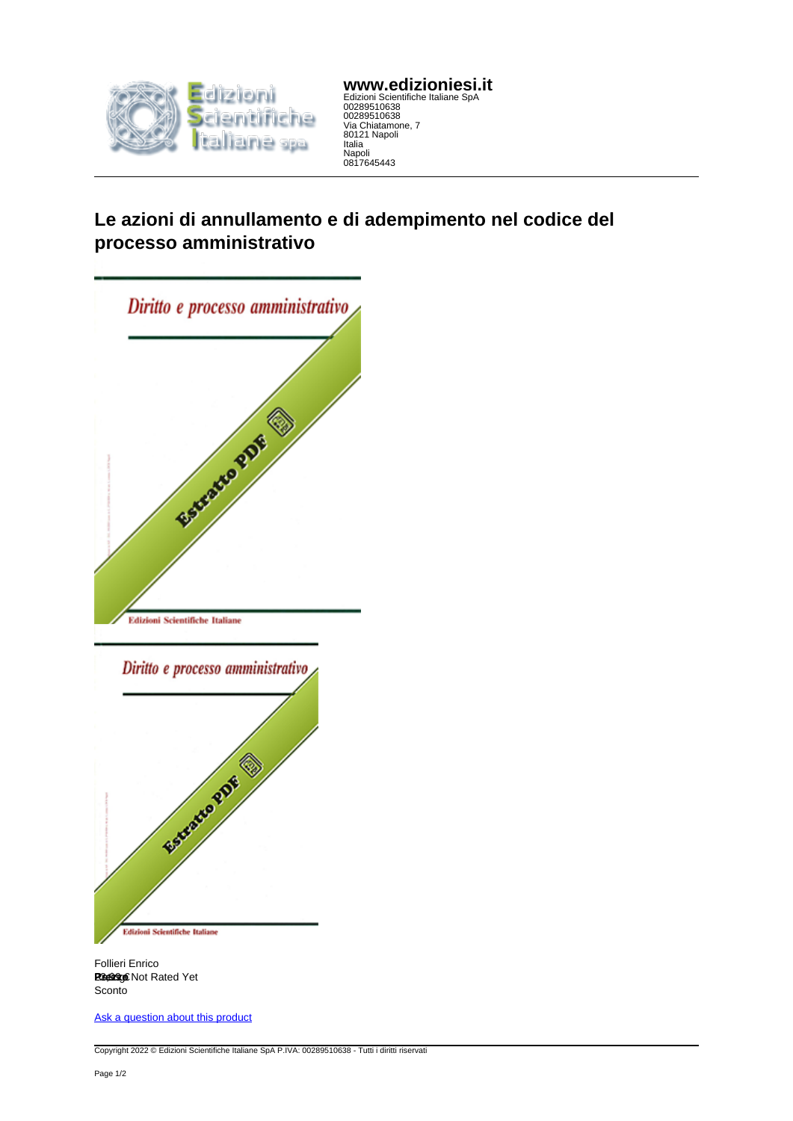

**www.edizioniesi.it** Edizioni Scientifiche Italiane SpA 00289510638 00289510638 Via Chiatamone, 7 80121 Napoli Italia Napoli 0817645443

## **Le azioni di annullamento e di adempimento nel codice del processo amministrativo**



Follieri Enrico Rating: Not Rated Yet **Prezzo** 23,99 € Sconto

[Ask a question about this product](https://www.edizioniesi.it/index.php?option=com_virtuemart&view=productdetails&task=askquestion&virtuemart_product_id=11121222&virtuemart_category_id=32898&tmpl=component)